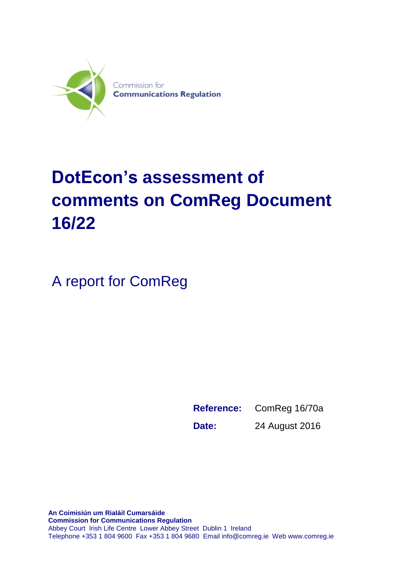

# **DotEcon's assessment of comments on ComReg Document 16/22**

A report for ComReg

**Reference:** ComReg 16/70a **Date:** 24 August 2016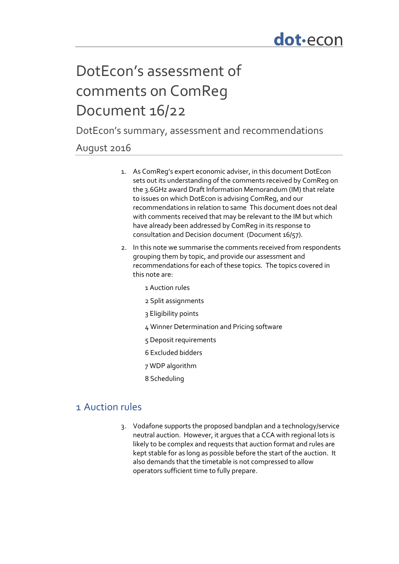## DotEcon's assessment of comments on ComReg Document 16/22

DotEcon's summary, assessment and recommendations

## August 2016

- 1. As ComReg's expert economic adviser, in this document DotEcon sets out its understanding of the comments received by ComReg on the 3.6GHz award Draft Information Memorandum (IM) that relate to issues on which DotEcon is advising ComReg, and our recommendations in relation to same This document does not deal with comments received that may be relevant to the IM but which have already been addressed by ComReg in its response to consultation and Decision document (Document 16/57).
- 2. In this note we summarise the comments received from respondents grouping them by topic, and provide our assessment and recommendations for each of these topics. The topics covered in this note are:
	- 1 Auction rules
	- 2 Split assignments
	- 3 Eligibility points
	- 4 Winner Determination and Pricing software
	- 5 Deposit requirements
	- 6 Excluded bidders
	- 7 WDP algorithm
	- 8 Scheduling

## 1 Auction rules

3. Vodafone supports the proposed bandplan and a technology/service neutral auction. However, it argues that a CCA with regional lots is likely to be complex and requests that auction format and rules are kept stable for as long as possible before the start of the auction. It also demands that the timetable is not compressed to allow operators sufficient time to fully prepare.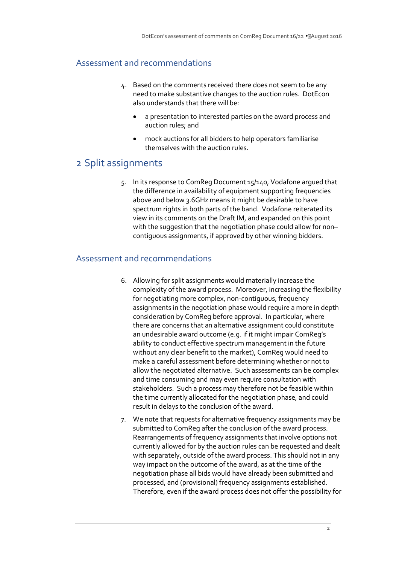#### Assessment and recommendations

- 4. Based on the comments received there does not seem to be any need to make substantive changes to the auction rules. DotEcon also understands that there will be:
	- a presentation to interested parties on the award process and auction rules; and
	- mock auctions for all bidders to help operators familiarise themselves with the auction rules.

## 2 Split assignments

5. In its response to ComReg Document 15/140, Vodafone argued that the difference in availability of equipment supporting frequencies above and below 3.6GHz means it might be desirable to have spectrum rights in both parts of the band. Vodafone reiterated its view in its comments on the Draft IM, and expanded on this point with the suggestion that the negotiation phase could allow for non– contiguous assignments, if approved by other winning bidders.

#### Assessment and recommendations

- 6. Allowing for split assignments would materially increase the complexity of the award process. Moreover, increasing the flexibility for negotiating more complex, non-contiguous, frequency assignments in the negotiation phase would require a more in depth consideration by ComReg before approval. In particular, where there are concerns that an alternative assignment could constitute an undesirable award outcome (e.g. if it might impair ComReg's ability to conduct effective spectrum management in the future without any clear benefit to the market), ComReg would need to make a careful assessment before determining whether or not to allow the negotiated alternative. Such assessments can be complex and time consuming and may even require consultation with stakeholders. Such a process may therefore not be feasible within the time currently allocated for the negotiation phase, and could result in delays to the conclusion of the award.
- 7. We note that requests for alternative frequency assignments may be submitted to ComReg after the conclusion of the award process. Rearrangements of frequency assignments that involve options not currently allowed for by the auction rules can be requested and dealt with separately, outside of the award process. This should not in any way impact on the outcome of the award, as at the time of the negotiation phase all bids would have already been submitted and processed, and (provisional) frequency assignments established. Therefore, even if the award process does not offer the possibility for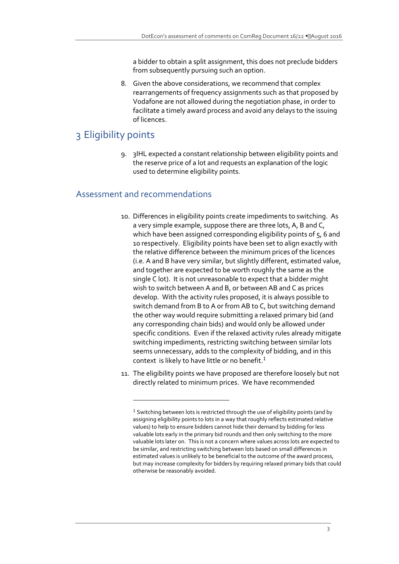a bidder to obtain a split assignment, this does not preclude bidders from subsequently pursuing such an option.

8. Given the above considerations, we recommend that complex rearrangements of frequency assignments such as that proposed by Vodafone are not allowed during the negotiation phase, in order to facilitate a timely award process and avoid any delays to the issuing of licences.

## 3 Eligibility points

9. 3IHL expected a constant relationship between eligibility points and the reserve price of a lot and requests an explanation of the logic used to determine eligibility points.

#### Assessment and recommendations

**.** 

- 10. Differences in eligibility points create impediments to switching. As a very simple example, suppose there are three lots, A, B and C, which have been assigned corresponding eligibility points of 5, 6 and 10 respectively. Eligibility points have been set to align exactly with the relative difference between the minimum prices of the licences (i.e. A and B have very similar, but slightly different, estimated value, and together are expected to be worth roughly the same as the single C lot). It is not unreasonable to expect that a bidder might wish to switch between A and B, or between AB and C as prices develop. With the activity rules proposed, it is always possible to switch demand from B to A or from AB to C, but switching demand the other way would require submitting a relaxed primary bid (and any corresponding chain bids) and would only be allowed under specific conditions. Even if the relaxed activity rules already mitigate switching impediments, restricting switching between similar lots seems unnecessary, adds to the complexity of bidding, and in this context is likely to have little or no benefit.<sup>1</sup>
- 11. The eligibility points we have proposed are therefore loosely but not directly related to minimum prices. We have recommended

 $1$  Switching between lots is restricted through the use of eligibility points (and by assigning eligibility points to lots in a way that roughly reflects estimated relative values) to help to ensure bidders cannot hide their demand by bidding for less valuable lots early in the primary bid rounds and then only switching to the more valuable lots later on. This is not a concern where values across lots are expected to be similar, and restricting switching between lots based on small differences in estimated values is unlikely to be beneficial to the outcome of the award process, but may increase complexity for bidders by requiring relaxed primary bids that could otherwise be reasonably avoided.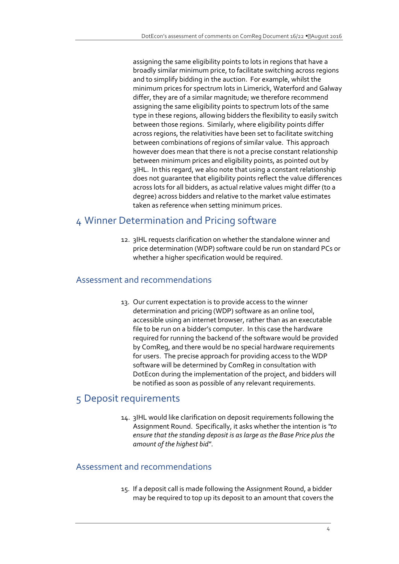assigning the same eligibility points to lots in regions that have a broadly similar minimum price, to facilitate switching across regions and to simplify bidding in the auction. For example, whilst the minimum prices for spectrum lots in Limerick, Waterford and Galway differ, they are of a similar magnitude; we therefore recommend assigning the same eligibility points to spectrum lots of the same type in these regions, allowing bidders the flexibility to easily switch between those regions. Similarly, where eligibility points differ across regions, the relativities have been set to facilitate switching between combinations of regions of similar value. This approach however does mean that there is not a precise constant relationship between minimum prices and eligibility points, as pointed out by 3IHL. In this regard, we also note that using a constant relationship does not guarantee that eligibility points reflect the value differences across lots for all bidders, as actual relative values might differ (to a degree) across bidders and relative to the market value estimates taken as reference when setting minimum prices.

## 4 Winner Determination and Pricing software

12. 3IHL requests clarification on whether the standalone winner and price determination (WDP) software could be run on standard PCs or whether a higher specification would be required.

#### Assessment and recommendations

13. Our current expectation is to provide access to the winner determination and pricing (WDP) software as an online tool, accessible using an internet browser, rather than as an executable file to be run on a bidder's computer. In this case the hardware required for running the backend of the software would be provided by ComReg, and there would be no special hardware requirements for users. The precise approach for providing access to the WDP software will be determined by ComReg in consultation with DotEcon during the implementation of the project, and bidders will be notified as soon as possible of any relevant requirements.

## 5 Deposit requirements

14. 3IHL would like clarification on deposit requirements following the Assignment Round. Specifically, it asks whether the intention is *"to ensure that the standing deposit is as large as the Base Price plus the amount of the highest bid"*.

## Assessment and recommendations

15. If a deposit call is made following the Assignment Round, a bidder may be required to top up its deposit to an amount that covers the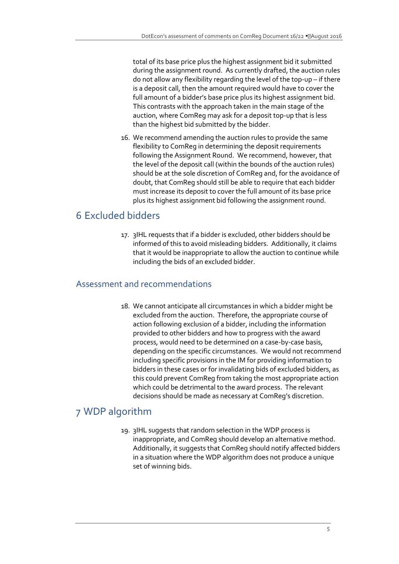total of its base price plus the highest assignment bid it submitted during the assignment round. As currently drafted, the auction rules do not allow any flexibility regarding the level of the top-up – if there is a deposit call, then the amount required would have to cover the full amount of a bidder's base price plus its highest assignment bid. This contrasts with the approach taken in the main stage of the auction, where ComReg may ask for a deposit top-up that is less than the highest bid submitted by the bidder.

16. We recommend amending the auction rules to provide the same flexibility to ComReg in determining the deposit requirements following the Assignment Round. We recommend, however, that the level of the deposit call (within the bounds of the auction rules) should be at the sole discretion of ComReg and, for the avoidance of doubt, that ComReg should still be able to require that each bidder must increase its deposit to cover the full amount of its base price plus its highest assignment bid following the assignment round.

## 6 Excluded bidders

17. 3IHL requests that if a bidder is excluded, other bidders should be informed of this to avoid misleading bidders. Additionally, it claims that it would be inappropriate to allow the auction to continue while including the bids of an excluded bidder.

#### Assessment and recommendations

18. We cannot anticipate all circumstances in which a bidder might be excluded from the auction. Therefore, the appropriate course of action following exclusion of a bidder, including the information provided to other bidders and how to progress with the award process, would need to be determined on a case-by-case basis, depending on the specific circumstances. We would not recommend including specific provisions in the IM for providing information to bidders in these cases or for invalidating bids of excluded bidders, as this could prevent ComReg from taking the most appropriate action which could be detrimental to the award process. The relevant decisions should be made as necessary at ComReg's discretion.

## 7 WDP algorithm

19. 3IHL suggests that random selection in the WDP process is inappropriate, and ComReg should develop an alternative method. Additionally, it suggests that ComReg should notify affected bidders in a situation where the WDP algorithm does not produce a unique set of winning bids.